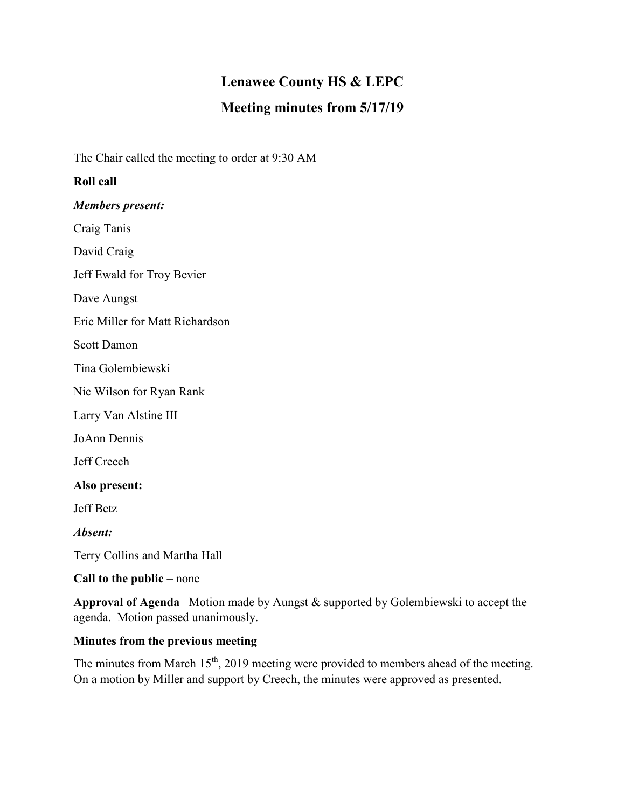# **Lenawee County HS & LEPC**

## **Meeting minutes from 5/17/19**

The Chair called the meeting to order at 9:30 AM

#### **Roll call**

*Members present:*

Craig Tanis

David Craig

Jeff Ewald for Troy Bevier

Dave Aungst

Eric Miller for Matt Richardson

Scott Damon

Tina Golembiewski

Nic Wilson for Ryan Rank

Larry Van Alstine III

JoAnn Dennis

Jeff Creech

**Also present:**

Jeff Betz

*Absent:*

Terry Collins and Martha Hall

**Call to the public** – none

**Approval of Agenda** –Motion made by Aungst & supported by Golembiewski to accept the agenda. Motion passed unanimously.

## **Minutes from the previous meeting**

The minutes from March  $15<sup>th</sup>$ , 2019 meeting were provided to members ahead of the meeting. On a motion by Miller and support by Creech, the minutes were approved as presented.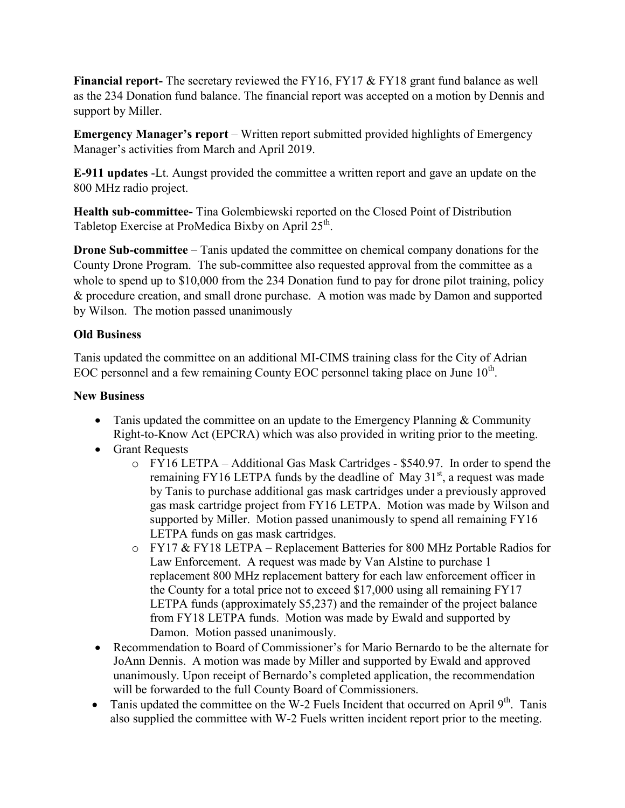**Financial report-** The secretary reviewed the FY16, FY17 & FY18 grant fund balance as well as the 234 Donation fund balance. The financial report was accepted on a motion by Dennis and support by Miller.

**Emergency Manager's report** – Written report submitted provided highlights of Emergency Manager's activities from March and April 2019.

**E-911 updates** -Lt. Aungst provided the committee a written report and gave an update on the 800 MHz radio project.

**Health sub-committee-** Tina Golembiewski reported on the Closed Point of Distribution Tabletop Exercise at ProMedica Bixby on April 25<sup>th</sup>.

**Drone Sub-committee** – Tanis updated the committee on chemical company donations for the County Drone Program. The sub-committee also requested approval from the committee as a whole to spend up to \$10,000 from the 234 Donation fund to pay for drone pilot training, policy & procedure creation, and small drone purchase. A motion was made by Damon and supported by Wilson. The motion passed unanimously

### **Old Business**

Tanis updated the committee on an additional MI-CIMS training class for the City of Adrian EOC personnel and a few remaining County EOC personnel taking place on June  $10^{th}$ .

### **New Business**

- Tanis updated the committee on an update to the Emergency Planning & Community Right-to-Know Act (EPCRA) which was also provided in writing prior to the meeting.
- Grant Requests
	- o FY16 LETPA Additional Gas Mask Cartridges \$540.97. In order to spend the remaining FY16 LETPA funds by the deadline of May  $31<sup>st</sup>$ , a request was made by Tanis to purchase additional gas mask cartridges under a previously approved gas mask cartridge project from FY16 LETPA. Motion was made by Wilson and supported by Miller. Motion passed unanimously to spend all remaining FY16 LETPA funds on gas mask cartridges.
	- o FY17 & FY18 LETPA Replacement Batteries for 800 MHz Portable Radios for Law Enforcement. A request was made by Van Alstine to purchase 1 replacement 800 MHz replacement battery for each law enforcement officer in the County for a total price not to exceed \$17,000 using all remaining FY17 LETPA funds (approximately \$5,237) and the remainder of the project balance from FY18 LETPA funds. Motion was made by Ewald and supported by Damon. Motion passed unanimously.
- Recommendation to Board of Commissioner's for Mario Bernardo to be the alternate for JoAnn Dennis. A motion was made by Miller and supported by Ewald and approved unanimously. Upon receipt of Bernardo's completed application, the recommendation will be forwarded to the full County Board of Commissioners.
- Tanis updated the committee on the W-2 Fuels Incident that occurred on April  $9<sup>th</sup>$ . Tanis also supplied the committee with W-2 Fuels written incident report prior to the meeting.